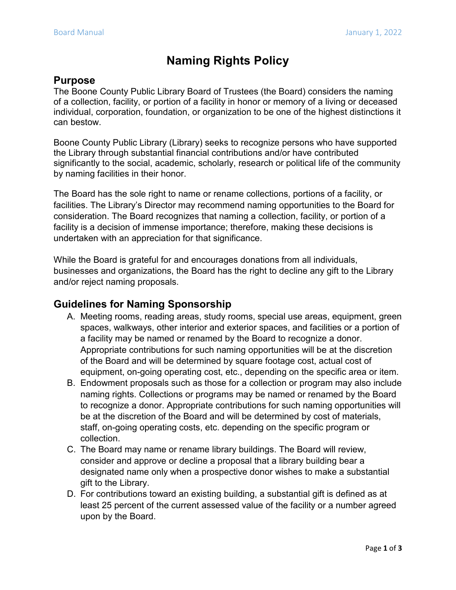# **Naming Rights Policy**

# **Purpose**

The Boone County Public Library Board of Trustees (the Board) considers the naming of a collection, facility, or portion of a facility in honor or memory of a living or deceased individual, corporation, foundation, or organization to be one of the highest distinctions it can bestow.

Boone County Public Library (Library) seeks to recognize persons who have supported the Library through substantial financial contributions and/or have contributed significantly to the social, academic, scholarly, research or political life of the community by naming facilities in their honor.

The Board has the sole right to name or rename collections, portions of a facility, or facilities. The Library's Director may recommend naming opportunities to the Board for consideration. The Board recognizes that naming a collection, facility, or portion of a facility is a decision of immense importance; therefore, making these decisions is undertaken with an appreciation for that significance.

While the Board is grateful for and encourages donations from all individuals, businesses and organizations, the Board has the right to decline any gift to the Library and/or reject naming proposals.

## **Guidelines for Naming Sponsorship**

- A. Meeting rooms, reading areas, study rooms, special use areas, equipment, green spaces, walkways, other interior and exterior spaces, and facilities or a portion of a facility may be named or renamed by the Board to recognize a donor. Appropriate contributions for such naming opportunities will be at the discretion of the Board and will be determined by square footage cost, actual cost of equipment, on-going operating cost, etc., depending on the specific area or item.
- B. Endowment proposals such as those for a collection or program may also include naming rights. Collections or programs may be named or renamed by the Board to recognize a donor. Appropriate contributions for such naming opportunities will be at the discretion of the Board and will be determined by cost of materials, staff, on-going operating costs, etc. depending on the specific program or collection.
- C. The Board may name or rename library buildings. The Board will review, consider and approve or decline a proposal that a library building bear a designated name only when a prospective donor wishes to make a substantial gift to the Library.
- D. For contributions toward an existing building, a substantial gift is defined as at least 25 percent of the current assessed value of the facility or a number agreed upon by the Board.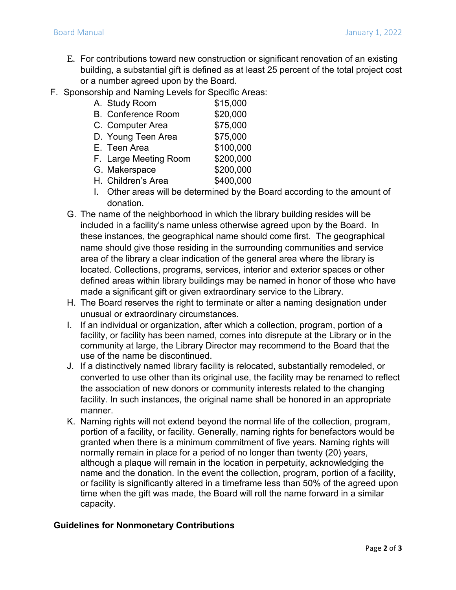- E. For contributions toward new construction or significant renovation of an existing building, a substantial gift is defined as at least 25 percent of the total project cost or a number agreed upon by the Board.
- F. Sponsorship and Naming Levels for Specific Areas:

| A. Study Room             | \$15,000  |
|---------------------------|-----------|
| <b>B.</b> Conference Room | \$20,000  |
| C. Computer Area          | \$75,000  |
| D. Young Teen Area        | \$75,000  |
| E. Teen Area              | \$100,000 |
| F. Large Meeting Room     | \$200,000 |
| G. Makerspace             | \$200,000 |
| H. Children's Area        | \$400,000 |

- I. Other areas will be determined by the Board according to the amount of donation.
- G. The name of the neighborhood in which the library building resides will be included in a facility's name unless otherwise agreed upon by the Board. In these instances, the geographical name should come first. The geographical name should give those residing in the surrounding communities and service area of the library a clear indication of the general area where the library is located. Collections, programs, services, interior and exterior spaces or other defined areas within library buildings may be named in honor of those who have made a significant gift or given extraordinary service to the Library.
- H. The Board reserves the right to terminate or alter a naming designation under unusual or extraordinary circumstances.
- I. If an individual or organization, after which a collection, program, portion of a facility, or facility has been named, comes into disrepute at the Library or in the community at large, the Library Director may recommend to the Board that the use of the name be discontinued.
- J. If a distinctively named library facility is relocated, substantially remodeled, or converted to use other than its original use, the facility may be renamed to reflect the association of new donors or community interests related to the changing facility. In such instances, the original name shall be honored in an appropriate manner.
- K. Naming rights will not extend beyond the normal life of the collection, program, portion of a facility, or facility. Generally, naming rights for benefactors would be granted when there is a minimum commitment of five years. Naming rights will normally remain in place for a period of no longer than twenty (20) years, although a plaque will remain in the location in perpetuity, acknowledging the name and the donation. In the event the collection, program, portion of a facility, or facility is significantly altered in a timeframe less than 50% of the agreed upon time when the gift was made, the Board will roll the name forward in a similar capacity.

#### **Guidelines for Nonmonetary Contributions**